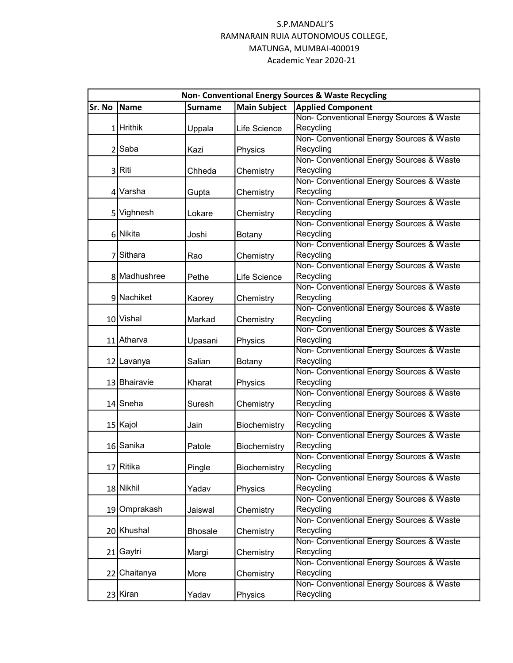|        | Non- Conventional Energy Sources & Waste Recycling |                |                     |                                          |  |  |
|--------|----------------------------------------------------|----------------|---------------------|------------------------------------------|--|--|
| Sr. No | Name                                               | <b>Surname</b> | <b>Main Subject</b> | <b>Applied Component</b>                 |  |  |
|        |                                                    |                |                     | Non- Conventional Energy Sources & Waste |  |  |
|        | 1 Hrithik                                          | Uppala         | Life Science        | Recycling                                |  |  |
|        |                                                    |                |                     | Non- Conventional Energy Sources & Waste |  |  |
|        | 2 Saba                                             | Kazi           | Physics             | Recycling                                |  |  |
|        |                                                    |                |                     | Non- Conventional Energy Sources & Waste |  |  |
|        | 3 Riti                                             | Chheda         | Chemistry           | Recycling                                |  |  |
|        |                                                    |                |                     | Non- Conventional Energy Sources & Waste |  |  |
|        | 4 Varsha                                           | Gupta          | Chemistry           | Recycling                                |  |  |
|        |                                                    |                |                     | Non- Conventional Energy Sources & Waste |  |  |
|        | 5 Vighnesh                                         | Lokare         | Chemistry           | Recycling                                |  |  |
|        |                                                    |                |                     | Non- Conventional Energy Sources & Waste |  |  |
|        | 6 Nikita                                           | Joshi          | Botany              | Recycling                                |  |  |
|        |                                                    |                |                     | Non- Conventional Energy Sources & Waste |  |  |
|        | 7 Sithara                                          | Rao            | Chemistry           | Recycling                                |  |  |
|        |                                                    |                |                     | Non- Conventional Energy Sources & Waste |  |  |
|        | 8 Madhushree                                       | Pethe          | Life Science        | Recycling                                |  |  |
|        |                                                    |                |                     | Non- Conventional Energy Sources & Waste |  |  |
|        | 9 Nachiket                                         | Kaorey         | Chemistry           | Recycling                                |  |  |
|        |                                                    |                |                     | Non- Conventional Energy Sources & Waste |  |  |
|        | 10 Vishal                                          | Markad         | Chemistry           | Recycling                                |  |  |
|        |                                                    |                |                     | Non- Conventional Energy Sources & Waste |  |  |
|        | 11 Atharva                                         | Upasani        | Physics             | Recycling                                |  |  |
|        |                                                    |                |                     | Non- Conventional Energy Sources & Waste |  |  |
|        | 12 Lavanya                                         | Salian         | Botany              | Recycling                                |  |  |
|        |                                                    |                |                     | Non- Conventional Energy Sources & Waste |  |  |
|        | 13 Bhairavie                                       | Kharat         | Physics             | Recycling                                |  |  |
|        |                                                    |                |                     | Non- Conventional Energy Sources & Waste |  |  |
|        | 14 Sneha                                           | Suresh         | Chemistry           | Recycling                                |  |  |
|        |                                                    |                |                     | Non- Conventional Energy Sources & Waste |  |  |
|        | 15 Kajol                                           | Jain           | Biochemistry        | Recycling                                |  |  |
|        |                                                    |                |                     | Non- Conventional Energy Sources & Waste |  |  |
|        | 16 Sanika                                          | Patole         | Biochemistry        | Recycling                                |  |  |
|        |                                                    |                |                     | Non- Conventional Energy Sources & Waste |  |  |
|        | 17 Ritika                                          | Pingle         | Biochemistry        | Recycling                                |  |  |
|        |                                                    |                |                     | Non- Conventional Energy Sources & Waste |  |  |
|        | 18 Nikhil                                          | Yadav          | Physics             | Recycling                                |  |  |
|        |                                                    |                |                     | Non- Conventional Energy Sources & Waste |  |  |
|        | 19 Omprakash                                       | Jaiswal        | Chemistry           | Recycling                                |  |  |
|        |                                                    |                |                     | Non- Conventional Energy Sources & Waste |  |  |
|        | 20 Khushal                                         | <b>Bhosale</b> | Chemistry           | Recycling                                |  |  |
|        |                                                    |                |                     | Non- Conventional Energy Sources & Waste |  |  |
|        | 21 Gaytri                                          | Margi          | Chemistry           | Recycling                                |  |  |
|        |                                                    |                |                     | Non- Conventional Energy Sources & Waste |  |  |
|        | 22 Chaitanya                                       | More           | Chemistry           | Recycling                                |  |  |
|        |                                                    |                |                     | Non- Conventional Energy Sources & Waste |  |  |
|        | 23 Kiran                                           | Yadav          | Physics             | Recycling                                |  |  |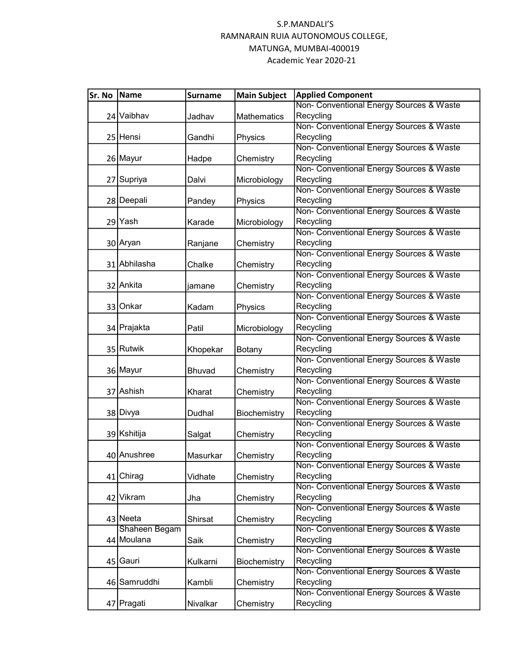| Sr. No | Name          | <b>Surname</b> | <b>Main Subject</b> | <b>Applied Component</b>                 |
|--------|---------------|----------------|---------------------|------------------------------------------|
|        |               |                |                     | Non- Conventional Energy Sources & Waste |
|        | 24 Vaibhav    | Jadhav         | <b>Mathematics</b>  | Recycling                                |
|        |               |                |                     | Non- Conventional Energy Sources & Waste |
|        | 25 Hensi      | Gandhi         | Physics             | Recycling                                |
|        |               |                |                     | Non- Conventional Energy Sources & Waste |
|        | 26 Mayur      | Hadpe          | Chemistry           | Recycling                                |
|        |               |                |                     | Non- Conventional Energy Sources & Waste |
|        | 27 Supriya    | Dalvi          | Microbiology        | Recycling                                |
|        |               |                |                     | Non- Conventional Energy Sources & Waste |
|        | 28 Deepali    | Pandey         | Physics             | Recycling                                |
|        |               |                |                     | Non- Conventional Energy Sources & Waste |
|        | 29 Yash       | Karade         | Microbiology        | Recycling                                |
|        |               |                |                     | Non- Conventional Energy Sources & Waste |
|        | 30 Aryan      | Ranjane        | Chemistry           | Recycling                                |
|        |               |                |                     | Non- Conventional Energy Sources & Waste |
|        | 31 Abhilasha  | Chalke         | Chemistry           | Recycling                                |
|        |               |                |                     | Non- Conventional Energy Sources & Waste |
|        | 32 Ankita     | jamane         | Chemistry           | Recycling                                |
|        |               |                |                     | Non- Conventional Energy Sources & Waste |
|        | 33 Onkar      | Kadam          | Physics             | Recycling                                |
|        |               |                |                     | Non- Conventional Energy Sources & Waste |
|        | 34 Prajakta   | Patil          | Microbiology        | Recycling                                |
|        |               |                |                     | Non- Conventional Energy Sources & Waste |
|        | 35 Rutwik     | Khopekar       | Botany              | Recycling                                |
|        |               |                |                     | Non- Conventional Energy Sources & Waste |
|        | 36 Mayur      | Bhuvad         | Chemistry           | Recycling                                |
|        |               |                |                     | Non- Conventional Energy Sources & Waste |
|        | 37 Ashish     | Kharat         | Chemistry           | Recycling                                |
|        |               |                |                     | Non- Conventional Energy Sources & Waste |
|        | 38 Divya      | Dudhal         | Biochemistry        | Recycling                                |
|        |               |                |                     | Non- Conventional Energy Sources & Waste |
|        | 39 Kshitija   | Salgat         | Chemistry           | Recycling                                |
|        |               |                |                     | Non- Conventional Energy Sources & Waste |
|        | 40 Anushree   | Masurkar       | Chemistry           | Recycling                                |
|        |               |                |                     | Non- Conventional Energy Sources & Waste |
|        | 41 Chirag     | Vidhate        | Chemistry           | Recycling                                |
|        |               |                |                     | Non- Conventional Energy Sources & Waste |
|        | 42 Vikram     | Jha            | Chemistry           | Recycling                                |
|        |               |                |                     | Non- Conventional Energy Sources & Waste |
|        | 43 Neeta      | Shirsat        | Chemistry           | Recycling                                |
|        | Shaheen Begam |                |                     | Non- Conventional Energy Sources & Waste |
|        | 44 Moulana    | Saik           | Chemistry           | Recycling                                |
|        |               |                |                     | Non- Conventional Energy Sources & Waste |
|        | 45 Gauri      | Kulkarni       | Biochemistry        | Recycling                                |
|        |               |                |                     | Non- Conventional Energy Sources & Waste |
|        | 46 Samruddhi  | Kambli         | Chemistry           | Recycling                                |
|        |               |                |                     | Non- Conventional Energy Sources & Waste |
|        | 47 Pragati    | Nivalkar       | Chemistry           | Recycling                                |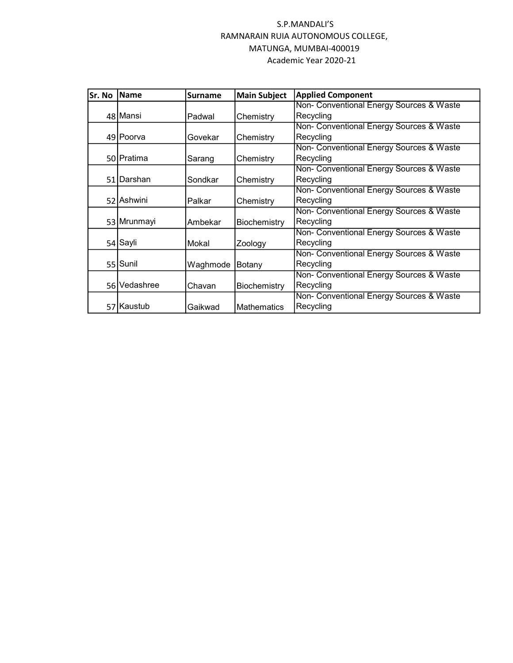| lSr. No | Name         | <b>Surname</b> | <b>Main Subject</b> | <b>Applied Component</b>                 |
|---------|--------------|----------------|---------------------|------------------------------------------|
|         |              |                |                     | Non- Conventional Energy Sources & Waste |
|         | 48 Mansi     | Padwal         | Chemistry           | Recycling                                |
|         |              |                |                     | Non- Conventional Energy Sources & Waste |
|         | 49 Poorva    | Govekar        | Chemistry           | Recycling                                |
|         |              |                |                     | Non- Conventional Energy Sources & Waste |
|         | 50 Pratima   | Sarang         | Chemistry           | Recycling                                |
|         |              |                |                     | Non- Conventional Energy Sources & Waste |
|         | 51 Darshan   | Sondkar        | Chemistry           | Recycling                                |
|         |              |                |                     | Non- Conventional Energy Sources & Waste |
|         | 52 Ashwini   | Palkar         | Chemistry           | Recycling                                |
|         |              |                |                     | Non- Conventional Energy Sources & Waste |
|         | 53 Mrunmayi  | Ambekar        | Biochemistry        | Recycling                                |
|         |              |                |                     | Non- Conventional Energy Sources & Waste |
|         | 54 Sayli     | Mokal          | Zoology             | Recycling                                |
|         |              |                |                     | Non- Conventional Energy Sources & Waste |
|         | 55 Sunil     | Waghmode       | Botany              | Recycling                                |
|         |              |                |                     | Non- Conventional Energy Sources & Waste |
|         | 56 Vedashree | Chavan         | Biochemistry        | Recycling                                |
|         |              |                |                     | Non- Conventional Energy Sources & Waste |
|         | 57 Kaustub   | Gaikwad        | <b>Mathematics</b>  | Recycling                                |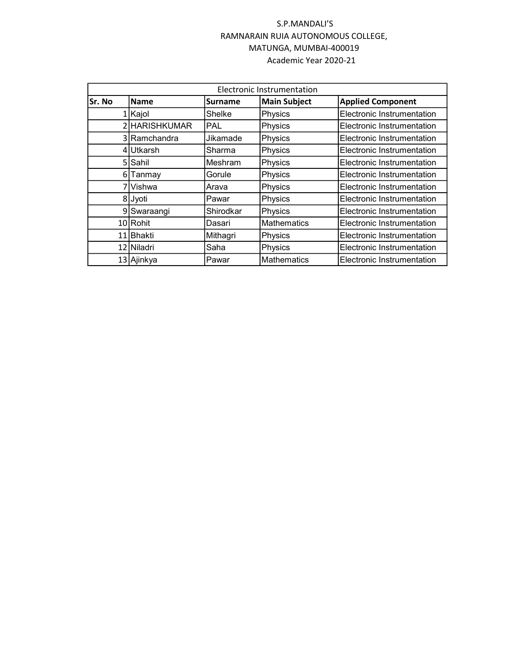|        | Electronic Instrumentation |                |                     |                            |  |  |  |
|--------|----------------------------|----------------|---------------------|----------------------------|--|--|--|
| Sr. No | Name                       | <b>Surname</b> | <b>Main Subject</b> | <b>Applied Component</b>   |  |  |  |
|        | 1 Kajol                    | Shelke         | Physics             | Electronic Instrumentation |  |  |  |
|        | 2 HARISHKUMAR              | PAL            | Physics             | Electronic Instrumentation |  |  |  |
|        | 3 Ramchandra               | Jikamade       | Physics             | Electronic Instrumentation |  |  |  |
|        | 4 Utkarsh                  | Sharma         | Physics             | Electronic Instrumentation |  |  |  |
|        | 5 Sahil                    | <b>Meshram</b> | Physics             | Electronic Instrumentation |  |  |  |
| 61     | Tanmay                     | Gorule         | Physics             | Electronic Instrumentation |  |  |  |
|        | 7İVishwa                   | Arava          | Physics             | Electronic Instrumentation |  |  |  |
|        | 8 Jyoti                    | Pawar          | Physics             | Electronic Instrumentation |  |  |  |
|        | 9 Swaraangi                | Shirodkar      | Physics             | Electronic Instrumentation |  |  |  |
|        | 10 Rohit                   | Dasari         | <b>Mathematics</b>  | Electronic Instrumentation |  |  |  |
|        | 11 Bhakti                  | Mithagri       | Physics             | Electronic Instrumentation |  |  |  |
|        | 12 Niladri                 | Saha           | Physics             | Electronic Instrumentation |  |  |  |
|        | 13 Ajinkya                 | Pawar          | <b>Mathematics</b>  | Electronic Instrumentation |  |  |  |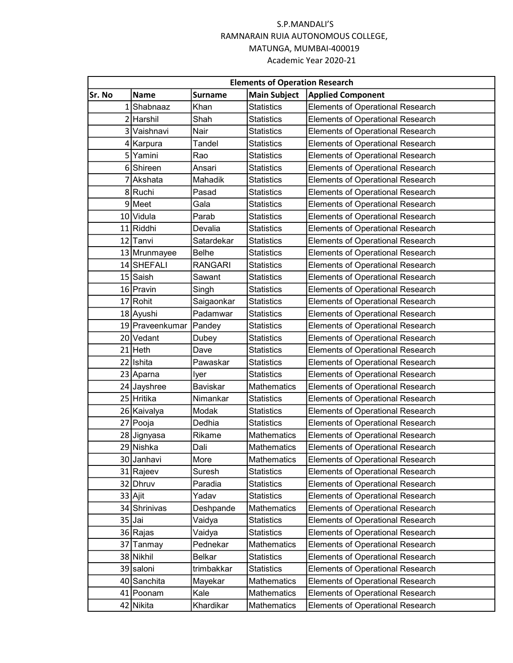| <b>Elements of Operation Research</b> |                 |                |                     |                                         |  |  |
|---------------------------------------|-----------------|----------------|---------------------|-----------------------------------------|--|--|
| Sr. No                                | <b>Name</b>     | <b>Surname</b> | <b>Main Subject</b> | <b>Applied Component</b>                |  |  |
|                                       | 1 Shabnaaz      | Khan           | <b>Statistics</b>   | <b>Elements of Operational Research</b> |  |  |
|                                       | 2 Harshil       | Shah           | <b>Statistics</b>   | <b>Elements of Operational Research</b> |  |  |
|                                       | 3 Vaishnavi     | Nair           | <b>Statistics</b>   | <b>Elements of Operational Research</b> |  |  |
|                                       | 4 Karpura       | Tandel         | <b>Statistics</b>   | <b>Elements of Operational Research</b> |  |  |
|                                       | 5 Yamini        | Rao            | <b>Statistics</b>   | <b>Elements of Operational Research</b> |  |  |
|                                       | 6 Shireen       | Ansari         | <b>Statistics</b>   | <b>Elements of Operational Research</b> |  |  |
|                                       | 7 Akshata       | Mahadik        | <b>Statistics</b>   | <b>Elements of Operational Research</b> |  |  |
|                                       | 8Ruchi          | Pasad          | <b>Statistics</b>   | <b>Elements of Operational Research</b> |  |  |
|                                       | 9 Meet          | Gala           | <b>Statistics</b>   | <b>Elements of Operational Research</b> |  |  |
|                                       | 10 Vidula       | Parab          | <b>Statistics</b>   | <b>Elements of Operational Research</b> |  |  |
|                                       | 11 Riddhi       | Devalia        | <b>Statistics</b>   | <b>Elements of Operational Research</b> |  |  |
|                                       | 12 Tanvi        | Satardekar     | <b>Statistics</b>   | <b>Elements of Operational Research</b> |  |  |
|                                       | 13 Mrunmayee    | <b>Belhe</b>   | <b>Statistics</b>   | <b>Elements of Operational Research</b> |  |  |
|                                       | 14 SHEFALI      | <b>RANGARI</b> | <b>Statistics</b>   | <b>Elements of Operational Research</b> |  |  |
|                                       | 15 Saish        | Sawant         | <b>Statistics</b>   | <b>Elements of Operational Research</b> |  |  |
|                                       | 16 Pravin       | Singh          | <b>Statistics</b>   | <b>Elements of Operational Research</b> |  |  |
|                                       | 17 Rohit        | Saigaonkar     | <b>Statistics</b>   | <b>Elements of Operational Research</b> |  |  |
|                                       | 18 Ayushi       | Padamwar       | <b>Statistics</b>   | <b>Elements of Operational Research</b> |  |  |
|                                       | 19 Praveenkumar | Pandey         | <b>Statistics</b>   | <b>Elements of Operational Research</b> |  |  |
|                                       | 20 Vedant       | Dubey          | <b>Statistics</b>   | <b>Elements of Operational Research</b> |  |  |
|                                       | $21$ Heth       | Dave           | <b>Statistics</b>   | <b>Elements of Operational Research</b> |  |  |
|                                       | 22 Ishita       | Pawaskar       | <b>Statistics</b>   | <b>Elements of Operational Research</b> |  |  |
|                                       | 23 Aparna       | lyer           | <b>Statistics</b>   | <b>Elements of Operational Research</b> |  |  |
|                                       | 24 Jayshree     | Baviskar       | Mathematics         | <b>Elements of Operational Research</b> |  |  |
|                                       | 25 Hritika      | Nimankar       | <b>Statistics</b>   | <b>Elements of Operational Research</b> |  |  |
|                                       | 26 Kaivalya     | Modak          | <b>Statistics</b>   | <b>Elements of Operational Research</b> |  |  |
|                                       | 27 Pooja        | Dedhia         | <b>Statistics</b>   | <b>Elements of Operational Research</b> |  |  |
|                                       | 28 Jignyasa     | Rikame         | <b>Mathematics</b>  | <b>Elements of Operational Research</b> |  |  |
|                                       | 29 Nishka       | Dali           | <b>Mathematics</b>  | <b>Elements of Operational Research</b> |  |  |
|                                       | 30 Janhavi      | More           | Mathematics         | <b>Elements of Operational Research</b> |  |  |
|                                       | 31 Rajeev       | Suresh         | <b>Statistics</b>   | <b>Elements of Operational Research</b> |  |  |
|                                       | 32 Dhruv        | Paradia        | <b>Statistics</b>   | <b>Elements of Operational Research</b> |  |  |
|                                       | 33 Ajit         | Yadav          | <b>Statistics</b>   | <b>Elements of Operational Research</b> |  |  |
|                                       | 34 Shrinivas    | Deshpande      | Mathematics         | Elements of Operational Research        |  |  |
|                                       | 35 Jai          | Vaidya         | <b>Statistics</b>   | Elements of Operational Research        |  |  |
|                                       | 36 Rajas        | Vaidya         | <b>Statistics</b>   | Elements of Operational Research        |  |  |
|                                       | 37 Tanmay       | Pednekar       | Mathematics         | <b>Elements of Operational Research</b> |  |  |
|                                       | 38 Nikhil       | <b>Belkar</b>  | <b>Statistics</b>   | <b>Elements of Operational Research</b> |  |  |
|                                       | 39 saloni       | trimbakkar     | <b>Statistics</b>   | <b>Elements of Operational Research</b> |  |  |
|                                       | 40 Sanchita     | Mayekar        | Mathematics         | Elements of Operational Research        |  |  |
|                                       | 41 Poonam       | Kale           | Mathematics         | <b>Elements of Operational Research</b> |  |  |
|                                       | 42 Nikita       | Khardikar      | Mathematics         | Elements of Operational Research        |  |  |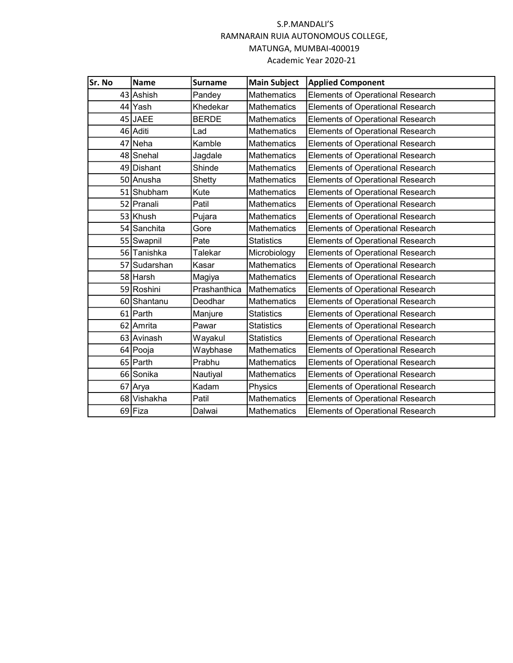| Sr. No | <b>Name</b>  | <b>Surname</b> | <b>Main Subject</b> | <b>Applied Component</b>                |
|--------|--------------|----------------|---------------------|-----------------------------------------|
|        | 43 Ashish    | Pandey         | <b>Mathematics</b>  | <b>Elements of Operational Research</b> |
|        | 44 Yash      | Khedekar       | <b>Mathematics</b>  | <b>Elements of Operational Research</b> |
|        | 45 JAEE      | <b>BERDE</b>   | Mathematics         | <b>Elements of Operational Research</b> |
|        | 46 Aditi     | Lad            | <b>Mathematics</b>  | <b>Elements of Operational Research</b> |
|        | 47 Neha      | Kamble         | <b>Mathematics</b>  | <b>Elements of Operational Research</b> |
|        | 48 Snehal    | Jagdale        | <b>Mathematics</b>  | <b>Elements of Operational Research</b> |
|        | 49 Dishant   | Shinde         | <b>Mathematics</b>  | <b>Elements of Operational Research</b> |
|        | 50 Anusha    | Shetty         | <b>Mathematics</b>  | <b>Elements of Operational Research</b> |
|        | 51 Shubham   | Kute           | <b>Mathematics</b>  | <b>Elements of Operational Research</b> |
|        | 52 Pranali   | Patil          | <b>Mathematics</b>  | <b>Elements of Operational Research</b> |
|        | 53 Khush     | Pujara         | <b>Mathematics</b>  | <b>Elements of Operational Research</b> |
|        | 54 Sanchita  | Gore           | <b>Mathematics</b>  | <b>Elements of Operational Research</b> |
|        | 55 Swapnil   | Pate           | <b>Statistics</b>   | <b>Elements of Operational Research</b> |
|        | 56 Tanishka  | Talekar        | Microbiology        | <b>Elements of Operational Research</b> |
|        | 57 Sudarshan | Kasar          | <b>Mathematics</b>  | <b>Elements of Operational Research</b> |
|        | 58 Harsh     | Magiya         | <b>Mathematics</b>  | <b>Elements of Operational Research</b> |
|        | 59 Roshini   | Prashanthica   | <b>Mathematics</b>  | <b>Elements of Operational Research</b> |
|        | 60 Shantanu  | Deodhar        | <b>Mathematics</b>  | <b>Elements of Operational Research</b> |
|        | 61 Parth     | Manjure        | <b>Statistics</b>   | <b>Elements of Operational Research</b> |
|        | 62 Amrita    | Pawar          | <b>Statistics</b>   | <b>Elements of Operational Research</b> |
|        | 63 Avinash   | Wayakul        | <b>Statistics</b>   | <b>Elements of Operational Research</b> |
|        | 64 Pooja     | Waybhase       | <b>Mathematics</b>  | <b>Elements of Operational Research</b> |
|        | 65 Parth     | Prabhu         | <b>Mathematics</b>  | <b>Elements of Operational Research</b> |
|        | 66 Sonika    | Nautiyal       | <b>Mathematics</b>  | <b>Elements of Operational Research</b> |
| 67     | Arya         | Kadam          | Physics             | <b>Elements of Operational Research</b> |
|        | 68 Vishakha  | Patil          | <b>Mathematics</b>  | <b>Elements of Operational Research</b> |
|        | 69 Fiza      | Dalwai         | <b>Mathematics</b>  | <b>Elements of Operational Research</b> |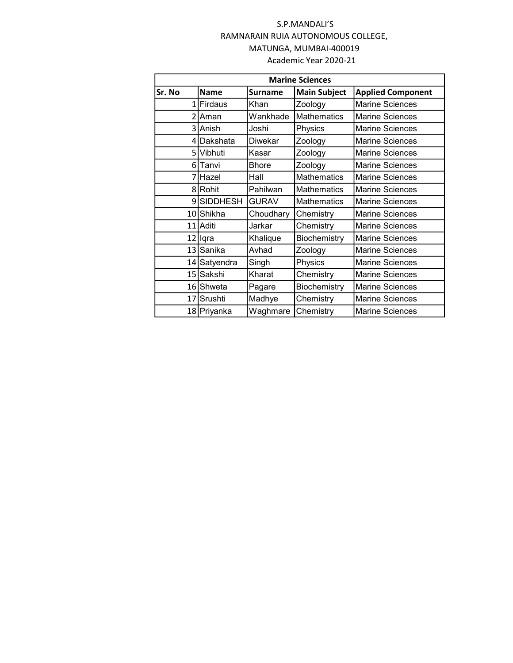| <b>Marine Sciences</b> |                 |                |                     |                          |  |  |  |
|------------------------|-----------------|----------------|---------------------|--------------------------|--|--|--|
| Sr. No                 | <b>Name</b>     | <b>Surname</b> | <b>Main Subject</b> | <b>Applied Component</b> |  |  |  |
| $\mathbf{1}$           | Firdaus         | Khan           | Zoology             | <b>Marine Sciences</b>   |  |  |  |
| $\mathfrak{p}$         | Aman            | Wankhade       | <b>Mathematics</b>  | <b>Marine Sciences</b>   |  |  |  |
| 3                      | Anish           | Joshi          | Physics             | <b>Marine Sciences</b>   |  |  |  |
| 4                      | Dakshata        | Diwekar        | Zoology             | <b>Marine Sciences</b>   |  |  |  |
| 5                      | Vibhuti         | Kasar          | Zoology             | <b>Marine Sciences</b>   |  |  |  |
| 6                      | Tanvi           | <b>Bhore</b>   | Zoology             | <b>Marine Sciences</b>   |  |  |  |
| 7                      | Hazel           | Hall           | <b>Mathematics</b>  | <b>Marine Sciences</b>   |  |  |  |
| 8                      | <b>Rohit</b>    | Pahilwan       | <b>Mathematics</b>  | <b>Marine Sciences</b>   |  |  |  |
| 9                      | <b>SIDDHESH</b> |                | <b>Mathematics</b>  | <b>Marine Sciences</b>   |  |  |  |
|                        | 10 Shikha       | Choudhary      | Chemistry           | <b>Marine Sciences</b>   |  |  |  |
|                        | 11 Aditi        | Jarkar         | Chemistry           | <b>Marine Sciences</b>   |  |  |  |
| 12                     | <b>I</b> qra    | Khalique       | Biochemistry        | <b>Marine Sciences</b>   |  |  |  |
|                        | 13 Sanika       | Avhad          | Zoology             | <b>Marine Sciences</b>   |  |  |  |
|                        | 14 Satyendra    |                | Physics             | <b>Marine Sciences</b>   |  |  |  |
|                        | Sakshi<br>15    |                | Chemistry           | <b>Marine Sciences</b>   |  |  |  |
| 16 Shweta              |                 | Pagare         | Biochemistry        | <b>Marine Sciences</b>   |  |  |  |
|                        | 17 Srushti      | Madhye         | Chemistry           | <b>Marine Sciences</b>   |  |  |  |
|                        | 18 Priyanka     | Waghmare       | Chemistry           | <b>Marine Sciences</b>   |  |  |  |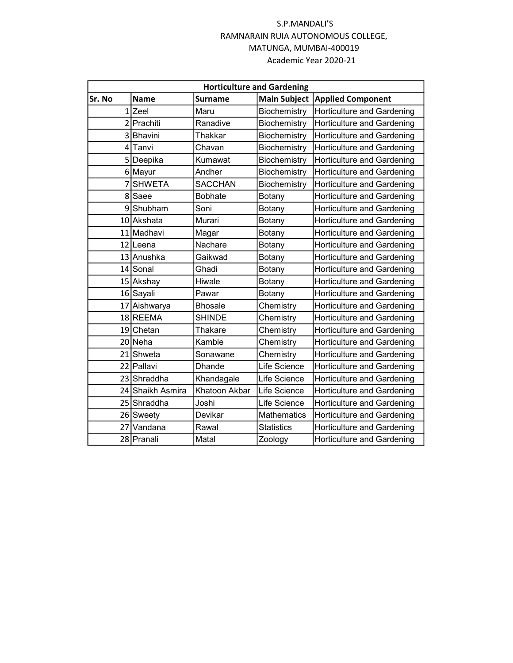|        | <b>Horticulture and Gardening</b> |                |                     |                                   |  |  |  |  |
|--------|-----------------------------------|----------------|---------------------|-----------------------------------|--|--|--|--|
| Sr. No | <b>Name</b>                       | <b>Surname</b> | <b>Main Subject</b> | <b>Applied Component</b>          |  |  |  |  |
|        | 1 <sub>Zeel</sub><br>Maru         |                | Biochemistry        | Horticulture and Gardening        |  |  |  |  |
|        | 2 Prachiti                        | Ranadive       | Biochemistry        | Horticulture and Gardening        |  |  |  |  |
|        | 3 Bhavini                         | Thakkar        | Biochemistry        | Horticulture and Gardening        |  |  |  |  |
|        | 4 Tanvi                           | Chavan         | Biochemistry        | Horticulture and Gardening        |  |  |  |  |
|        | 5 Deepika                         | Kumawat        | Biochemistry        | Horticulture and Gardening        |  |  |  |  |
|        | 6 Mayur                           | Andher         | Biochemistry        | Horticulture and Gardening        |  |  |  |  |
|        | 7 SHWETA                          | <b>SACCHAN</b> | Biochemistry        | Horticulture and Gardening        |  |  |  |  |
|        | 8 Saee                            | <b>Bobhate</b> | Botany              | <b>Horticulture and Gardening</b> |  |  |  |  |
|        | 9Shubham                          | Soni           | Botany              | Horticulture and Gardening        |  |  |  |  |
|        | 10 Akshata                        | Murari         | Botany              | Horticulture and Gardening        |  |  |  |  |
|        | 11 Madhavi                        | Magar          | Botany              | Horticulture and Gardening        |  |  |  |  |
|        | 12 Leena                          | Nachare        | Botany              | Horticulture and Gardening        |  |  |  |  |
|        | 13 Anushka                        | Gaikwad        | Botany              | Horticulture and Gardening        |  |  |  |  |
|        | 14 Sonal                          | Ghadi          | Botany              | Horticulture and Gardening        |  |  |  |  |
|        | 15 Akshay                         | Hiwale         | Botany              | Horticulture and Gardening        |  |  |  |  |
|        | 16 Sayali                         | Pawar          | Botany              | Horticulture and Gardening        |  |  |  |  |
|        | 17 Aishwarya                      | <b>Bhosale</b> | Chemistry           | Horticulture and Gardening        |  |  |  |  |
|        | 18 REEMA                          | <b>SHINDE</b>  | Chemistry           | Horticulture and Gardening        |  |  |  |  |
|        | 19 Chetan                         | Thakare        | Chemistry           | Horticulture and Gardening        |  |  |  |  |
|        | 20 Neha                           | Kamble         | Chemistry           | <b>Horticulture and Gardening</b> |  |  |  |  |
|        | 21 Shweta                         | Sonawane       | Chemistry           | <b>Horticulture and Gardening</b> |  |  |  |  |
|        | 22 Pallavi                        | <b>Dhande</b>  | Life Science        | Horticulture and Gardening        |  |  |  |  |
|        | 23 Shraddha                       | Khandagale     | Life Science        | Horticulture and Gardening        |  |  |  |  |
|        | 24 Shaikh Asmira                  | Khatoon Akbar  | Life Science        | <b>Horticulture and Gardening</b> |  |  |  |  |
|        | 25 Shraddha                       | Joshi          | Life Science        | Horticulture and Gardening        |  |  |  |  |
|        | 26 Sweety                         | Devikar        | Mathematics         | Horticulture and Gardening        |  |  |  |  |
|        | 27 Vandana                        | Rawal          | <b>Statistics</b>   | <b>Horticulture and Gardening</b> |  |  |  |  |
|        | 28 Pranali                        | Matal          | Zoology             | <b>Horticulture and Gardening</b> |  |  |  |  |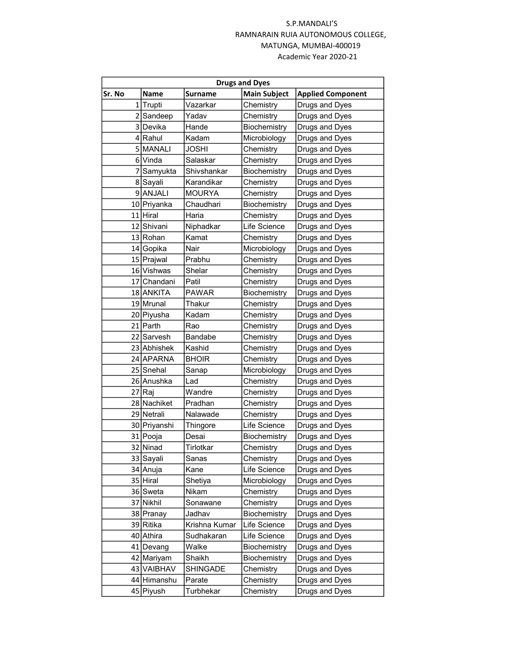| <b>Drugs and Dyes</b> |                     |                |                     |                          |  |  |
|-----------------------|---------------------|----------------|---------------------|--------------------------|--|--|
| Sr. No                | <b>Name</b>         | <b>Surname</b> | <b>Main Subject</b> | <b>Applied Component</b> |  |  |
|                       | 1 <sup>Trupti</sup> | Vazarkar       | Chemistry           | Drugs and Dyes           |  |  |
|                       | 2 Sandeep           | Yadav          | Chemistry           | Drugs and Dyes           |  |  |
|                       | 3Devika             | Hande          | Biochemistry        | Drugs and Dyes           |  |  |
|                       | 4 Rahul             | Kadam          | Microbiology        | Drugs and Dyes           |  |  |
|                       | 5 MANALI            | <b>JOSHI</b>   | Chemistry           | Drugs and Dyes           |  |  |
|                       | 6 Vinda             | Salaskar       | Chemistry           | Drugs and Dyes           |  |  |
|                       | 7 Samyukta          | Shivshankar    | Biochemistry        | Drugs and Dyes           |  |  |
|                       | 8 Sayali            | Karandikar     | Chemistry           | Drugs and Dyes           |  |  |
|                       | 9ANJALI             | <b>MOURYA</b>  | Chemistry           | Drugs and Dyes           |  |  |
|                       | 10 Priyanka         | Chaudhari      | Biochemistry        | Drugs and Dyes           |  |  |
|                       | 11 Hiral            | Haria          | Chemistry           | Drugs and Dyes           |  |  |
|                       | 12 Shivani          | Niphadkar      | Life Science        | Drugs and Dyes           |  |  |
|                       | 13 Rohan            | Kamat          | Chemistry           | Drugs and Dyes           |  |  |
|                       | 14 Gopika           | Nair           | Microbiology        | Drugs and Dyes           |  |  |
|                       | 15 Prajwal          | Prabhu         | Chemistry           | Drugs and Dyes           |  |  |
|                       | 16 Vishwas          | Shelar         | Chemistry           | Drugs and Dyes           |  |  |
|                       | 17 Chandani         | Patil          | Chemistry           | Drugs and Dyes           |  |  |
|                       | 18 ANKITA           | <b>PAWAR</b>   | Biochemistry        | Drugs and Dyes           |  |  |
|                       | 19 Mrunal           | Thakur         | Chemistry           | Drugs and Dyes           |  |  |
|                       | 20 Piyusha          | Kadam          | Chemistry           | Drugs and Dyes           |  |  |
|                       | 21 Parth            | Rao            | Chemistry           | Drugs and Dyes           |  |  |
|                       | 22 Sarvesh          | <b>Bandabe</b> | Chemistry           | Drugs and Dyes           |  |  |
|                       | 23 Abhishek         | Kashid         | Chemistry           | Drugs and Dyes           |  |  |
|                       | 24 APARNA           | <b>BHOIR</b>   | Chemistry           | Drugs and Dyes           |  |  |
|                       | 25 Snehal           | Sanap          | Microbiology        | Drugs and Dyes           |  |  |
|                       | 26 Anushka          | Lad            | Chemistry           | Drugs and Dyes           |  |  |
|                       | 27 Raj              | Wandre         | Chemistry           | Drugs and Dyes           |  |  |
|                       | 28 Nachiket         | Pradhan        | Chemistry           | Drugs and Dyes           |  |  |
|                       | 29 Netrali          | Nalawade       | Chemistry           | Drugs and Dyes           |  |  |
|                       | 30 Priyanshi        | Thingore       | Life Science        | Drugs and Dyes           |  |  |
|                       | 31 Pooja            | Desai          | Biochemistry        | Drugs and Dyes           |  |  |
|                       | 32 Ninad            | Tirlotkar      | Chemistry           | Drugs and Dyes           |  |  |
|                       | 33 Sayali           | Sanas          | Chemistry           | Drugs and Dyes           |  |  |
|                       | 34 Anuja            | Kane           | Life Science        | Drugs and Dyes           |  |  |
|                       | 35 Hiral            | Shetiya        | Microbiology        | Drugs and Dyes           |  |  |
|                       | 36 Sweta            | Nikam          | Chemistry           | Drugs and Dyes           |  |  |
|                       | 37 Nikhil           | Sonawane       | Chemistry           | Drugs and Dyes           |  |  |
|                       | 38 Pranay           | Jadhav         | Biochemistry        | Drugs and Dyes           |  |  |
|                       | 39 Ritika           | Krishna Kumar  | Life Science        | Drugs and Dyes           |  |  |
|                       | 40 Athira           | Sudhakaran     | Life Science        | Drugs and Dyes           |  |  |
|                       | 41 Devang           | Walke          | Biochemistry        | Drugs and Dyes           |  |  |
|                       | 42 Mariyam          | Shaikh         | Biochemistry        | Drugs and Dyes           |  |  |
|                       | 43 VAIBHAV          | SHINGADE       | Chemistry           | Drugs and Dyes           |  |  |
|                       | 44 Himanshu         | Parate         | Chemistry           | Drugs and Dyes           |  |  |
|                       | 45 Piyush           | Turbhekar      | Chemistry           | Drugs and Dyes           |  |  |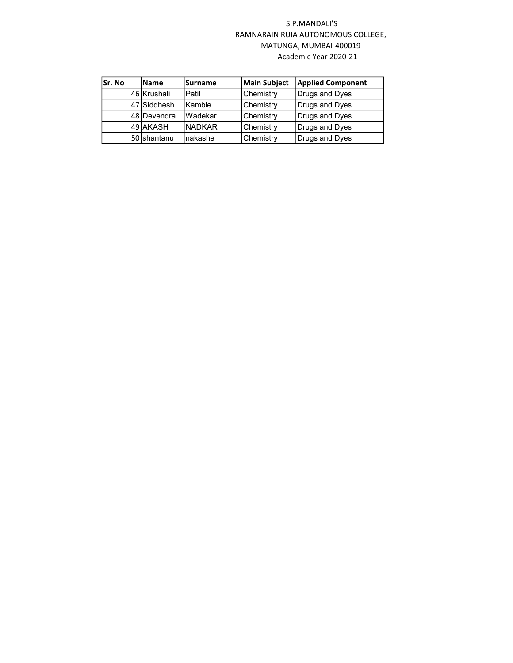| lSr. No | <b>Name</b> | <b>Surname</b> | <b>Main Subject</b> | <b>Applied Component</b> |
|---------|-------------|----------------|---------------------|--------------------------|
|         | 46 Krushali | Patil          | Chemistry           | Drugs and Dyes           |
|         | 47 Siddhesh | Kamble         | Chemistry           | Drugs and Dyes           |
|         | 48 Devendra | Wadekar        | <b>Chemistry</b>    | Drugs and Dyes           |
|         | 49 AKASH    | <b>NADKAR</b>  | Chemistry           | Drugs and Dyes           |
|         | 50 shantanu | nakashe        | Chemistry           | Drugs and Dyes           |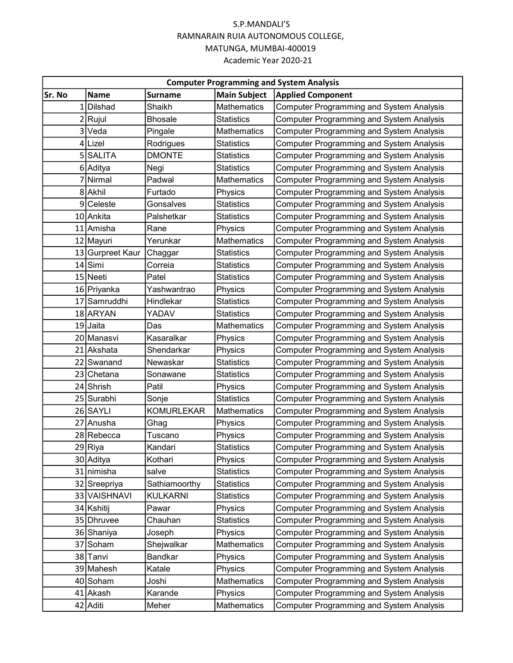| <b>Computer Programming and System Analysis</b> |                  |                   |                     |                                                 |  |  |
|-------------------------------------------------|------------------|-------------------|---------------------|-------------------------------------------------|--|--|
| Sr. No                                          | <b>Name</b>      | <b>Surname</b>    | <b>Main Subject</b> | <b>Applied Component</b>                        |  |  |
| 1                                               | <b>Dilshad</b>   | Shaikh            | Mathematics         | <b>Computer Programming and System Analysis</b> |  |  |
|                                                 | 2 Rujul          | <b>Bhosale</b>    | <b>Statistics</b>   | <b>Computer Programming and System Analysis</b> |  |  |
|                                                 | 3 Veda           | Pingale           | <b>Mathematics</b>  | <b>Computer Programming and System Analysis</b> |  |  |
|                                                 | 4 Lizel          | Rodrigues         | <b>Statistics</b>   | <b>Computer Programming and System Analysis</b> |  |  |
|                                                 | 5 SALITA         | <b>DMONTE</b>     | Statistics          | <b>Computer Programming and System Analysis</b> |  |  |
|                                                 | 6 Aditya         | Negi              | <b>Statistics</b>   | Computer Programming and System Analysis        |  |  |
|                                                 | 7 Nirmal         | Padwal            | Mathematics         | <b>Computer Programming and System Analysis</b> |  |  |
|                                                 | 8 Akhil          | Furtado           | Physics             | <b>Computer Programming and System Analysis</b> |  |  |
|                                                 | 9 Celeste        | Gonsalves         | <b>Statistics</b>   | <b>Computer Programming and System Analysis</b> |  |  |
|                                                 | 10 Ankita        | Palshetkar        | <b>Statistics</b>   | <b>Computer Programming and System Analysis</b> |  |  |
|                                                 | 11 Amisha        | Rane              | Physics             | <b>Computer Programming and System Analysis</b> |  |  |
|                                                 | 12 Mayuri        | Yerunkar          | Mathematics         | <b>Computer Programming and System Analysis</b> |  |  |
|                                                 | 13 Gurpreet Kaur | Chaggar           | <b>Statistics</b>   | <b>Computer Programming and System Analysis</b> |  |  |
|                                                 | $14$ Simi        | Correia           | <b>Statistics</b>   | <b>Computer Programming and System Analysis</b> |  |  |
|                                                 | 15 Neeti         | Patel             | Statistics          | <b>Computer Programming and System Analysis</b> |  |  |
|                                                 | 16 Priyanka      | Yashwantrao       | Physics             | <b>Computer Programming and System Analysis</b> |  |  |
|                                                 | 17 Samruddhi     | Hindlekar         | <b>Statistics</b>   | <b>Computer Programming and System Analysis</b> |  |  |
|                                                 | 18 ARYAN         | YADAV             | <b>Statistics</b>   | <b>Computer Programming and System Analysis</b> |  |  |
|                                                 | 19 Jaita         | Das               | <b>Mathematics</b>  | <b>Computer Programming and System Analysis</b> |  |  |
|                                                 | 20 Manasvi       | Kasaralkar        | Physics             | <b>Computer Programming and System Analysis</b> |  |  |
|                                                 | 21 Akshata       | Shendarkar        | Physics             | <b>Computer Programming and System Analysis</b> |  |  |
|                                                 | 22 Swanand       | Newaskar          | Statistics          | <b>Computer Programming and System Analysis</b> |  |  |
|                                                 | 23 Chetana       | Sonawane          | <b>Statistics</b>   | <b>Computer Programming and System Analysis</b> |  |  |
|                                                 | 24 Shrish        | Patil             | Physics             | <b>Computer Programming and System Analysis</b> |  |  |
|                                                 | 25 Surabhi       | Sonje             | <b>Statistics</b>   | <b>Computer Programming and System Analysis</b> |  |  |
|                                                 | 26 SAYLI         | <b>KOMURLEKAR</b> | <b>Mathematics</b>  | <b>Computer Programming and System Analysis</b> |  |  |
| 27                                              | Anusha           | Ghag              | Physics             | <b>Computer Programming and System Analysis</b> |  |  |
|                                                 | 28 Rebecca       | Tuscano           | Physics             | <b>Computer Programming and System Analysis</b> |  |  |
|                                                 | 29 Riya          | Kandari           | Statistics          | <b>Computer Programming and System Analysis</b> |  |  |
|                                                 | 30 Aditya        | Kothari           | Physics             | <b>Computer Programming and System Analysis</b> |  |  |
|                                                 | 31 nimisha       | salve             | <b>Statistics</b>   | <b>Computer Programming and System Analysis</b> |  |  |
|                                                 | 32 Sreepriya     | Sathiamoorthy     | <b>Statistics</b>   | <b>Computer Programming and System Analysis</b> |  |  |
|                                                 | 33 VAISHNAVI     | <b>KULKARNI</b>   | <b>Statistics</b>   | <b>Computer Programming and System Analysis</b> |  |  |
|                                                 | 34 Kshitij       | Pawar             | Physics             | <b>Computer Programming and System Analysis</b> |  |  |
|                                                 | 35 Dhruvee       | Chauhan           | <b>Statistics</b>   | <b>Computer Programming and System Analysis</b> |  |  |
|                                                 | 36 Shaniya       | Joseph            | Physics             | <b>Computer Programming and System Analysis</b> |  |  |
|                                                 | 37 Soham         | Shejwalkar        | <b>Mathematics</b>  | <b>Computer Programming and System Analysis</b> |  |  |
|                                                 | 38 Tanvi         | Bandkar           | Physics             | <b>Computer Programming and System Analysis</b> |  |  |
|                                                 | 39 Mahesh        | Katale            | Physics             | <b>Computer Programming and System Analysis</b> |  |  |
|                                                 | 40 Soham         | Joshi             | Mathematics         | <b>Computer Programming and System Analysis</b> |  |  |
|                                                 | 41 Akash         | Karande           | Physics             | <b>Computer Programming and System Analysis</b> |  |  |
|                                                 | 42 Aditi         | Meher             | Mathematics         | <b>Computer Programming and System Analysis</b> |  |  |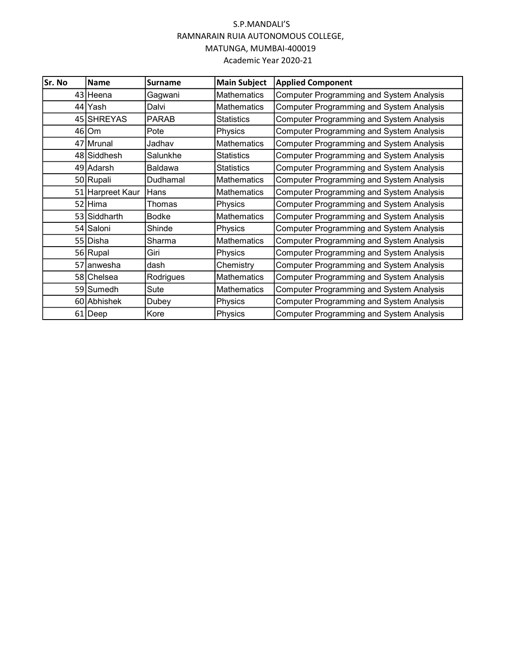| lSr. No | <b>Name</b>      | Surname        | <b>Main Subject</b> | <b>Applied Component</b>                        |
|---------|------------------|----------------|---------------------|-------------------------------------------------|
|         | 43 Heena         | Gagwani        | <b>Mathematics</b>  | <b>Computer Programming and System Analysis</b> |
|         | 44 Yash          | Dalvi          | <b>Mathematics</b>  | <b>Computer Programming and System Analysis</b> |
|         | 45 SHREYAS       | <b>PARAB</b>   | <b>Statistics</b>   | <b>Computer Programming and System Analysis</b> |
|         | $46$ Om          | Pote           | Physics             | <b>Computer Programming and System Analysis</b> |
|         | 47 Mrunal        | Jadhav         | <b>Mathematics</b>  | <b>Computer Programming and System Analysis</b> |
|         | 48 Siddhesh      | Salunkhe       | Statistics          | <b>Computer Programming and System Analysis</b> |
|         | 49 Adarsh        | <b>Baldawa</b> | <b>Statistics</b>   | <b>Computer Programming and System Analysis</b> |
|         | 50 Rupali        | Dudhamal       | <b>Mathematics</b>  | <b>Computer Programming and System Analysis</b> |
|         | 51 Harpreet Kaur | Hans           | <b>Mathematics</b>  | <b>Computer Programming and System Analysis</b> |
|         | 52 Hima          | Thomas         | Physics             | <b>Computer Programming and System Analysis</b> |
|         | 53 Siddharth     | <b>Bodke</b>   | <b>Mathematics</b>  | <b>Computer Programming and System Analysis</b> |
|         | 54 Saloni        | Shinde         | Physics             | <b>Computer Programming and System Analysis</b> |
|         | 55 Disha         | Sharma         | <b>Mathematics</b>  | <b>Computer Programming and System Analysis</b> |
|         | 56 Rupal         | Giri           | Physics             | <b>Computer Programming and System Analysis</b> |
|         | 57 anwesha       | dash           | Chemistry           | <b>Computer Programming and System Analysis</b> |
|         | 58 Chelsea       | Rodrigues      | <b>Mathematics</b>  | <b>Computer Programming and System Analysis</b> |
|         | 59 Sumedh        | Sute           | <b>Mathematics</b>  | <b>Computer Programming and System Analysis</b> |
|         | 60 Abhishek      | Dubey          | Physics             | <b>Computer Programming and System Analysis</b> |
|         | 61   Deep        | Kore           | Physics             | <b>Computer Programming and System Analysis</b> |